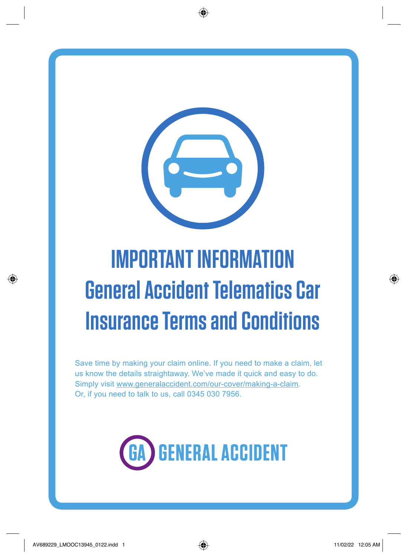

# **IMPORTANT INFORMATION General Accident Telematics Car Insurance Terms and Conditions**

Save time by making your claim online. If you need to make a claim, let us know the details straightaway. We've made it quick and easy to do. Simply visit [www.generalaccident.com/our-cover/making-a-claim.](http://www.generalaccident.com/our-cover/making-a-claim) Or, if you need to talk to us, call 0345 030 7956.



1<br>1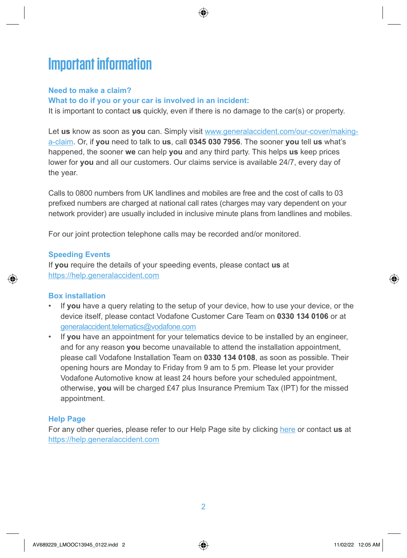# **Important information**

#### **Need to make a claim?**

#### **What to do if you or your car is involved in an incident:**

It is important to contact **us** quickly, even if there is no damage to the car(s) or property.

Let **us** know as soon as **you** can. Simply visit [www.generalaccident.com/our-cover/making](http://www.generalaccident.com/our-cover/making-a-claim)[a-claim](http://www.generalaccident.com/our-cover/making-a-claim). Or, if **you** need to talk to **us**, call **0345 030 7956**. The sooner **you** tell **us** what's happened, the sooner **we** can help **you** and any third party. This helps **us** keep prices lower for **you** and all our customers. Our claims service is available 24/7, every day of the year.

Calls to 0800 numbers from UK landlines and mobiles are free and the cost of calls to 03 prefixed numbers are charged at national call rates (charges may vary dependent on your network provider) are usually included in inclusive minute plans from landlines and mobiles.

For our joint protection telephone calls may be recorded and/or monitored.

#### **Speeding Events**

If **you** require the details of your speeding events, please contact **us** at <https://help.generalaccident.com>

### **Box installation**

- If **you** have a query relating to the setup of your device, how to use your device, or the device itself, please contact Vodafone Customer Care Team on **0330 134 0106** or at [generalaccident.telematics@vodafone.com](mailto:generalaccident.telematics@vodafone.com)
- If **you** have an appointment for your telematics device to be installed by an engineer, and for any reason **you** become unavailable to attend the installation appointment, please call Vodafone Installation Team on **0330 134 0108**, as soon as possible. Their opening hours are Monday to Friday from 9 am to 5 pm. Please let your provider Vodafone Automotive know at least 24 hours before your scheduled appointment, otherwise, **you** will be charged £47 plus Insurance Premium Tax (IPT) for the missed appointment.

### **Help Page**

For any other queries, please refer to our Help Page site by clicking [here](https://help.generalaccident.com/car-insurance/telematics/) or contact **us** at <https://help.generalaccident.com>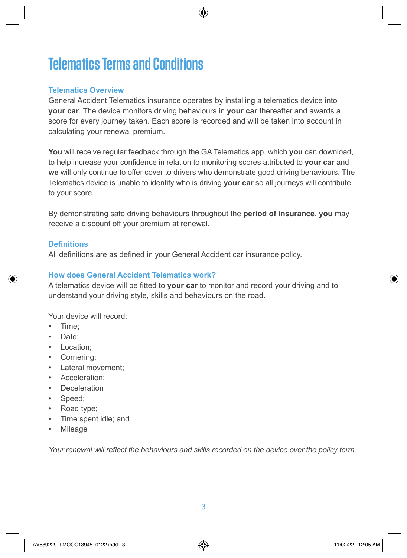# **Telematics Terms and Conditions**

#### **Telematics Overview**

General Accident Telematics insurance operates by installing a telematics device into **your car**. The device monitors driving behaviours in **your car** thereafter and awards a score for every journey taken. Each score is recorded and will be taken into account in calculating your renewal premium.

**You** will receive regular feedback through the GA Telematics app, which **you** can download, to help increase your confidence in relation to monitoring scores attributed to **your car** and **we** will only continue to offer cover to drivers who demonstrate good driving behaviours. The Telematics device is unable to identify who is driving **your car** so all journeys will contribute to your score.

By demonstrating safe driving behaviours throughout the **period of insurance**, **you** may receive a discount off your premium at renewal.

#### **Definitions**

All definitions are as defined in your General Accident car insurance policy.

### **How does General Accident Telematics work?**

A telematics device will be fitted to **your car** to monitor and record your driving and to understand your driving style, skills and behaviours on the road.

Your device will record:

- Time;
- Date;
- Location;
- Cornering;
- Lateral movement;
- Acceleration:
- Deceleration
- Speed:
- Road type;
- Time spent idle; and
- Mileage

*Your renewal will reflect the behaviours and skills recorded on the device over the policy term.*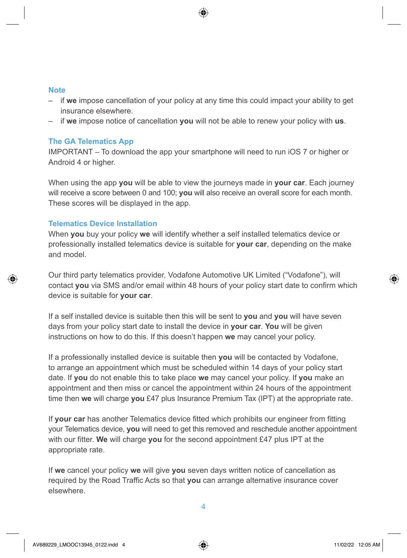- if **we** impose cancellation of your policy at any time this could impact your ability to get insurance elsewhere.
- if **we** impose notice of cancellation **you** will not be able to renew your policy with **us**.

#### **The GA Telematics App**

IMPORTANT – To download the app your smartphone will need to run iOS 7 or higher or Android 4 or higher.

When using the app **you** will be able to view the journeys made in **your car**. Each journey will receive a score between 0 and 100; **you** will also receive an overall score for each month. These scores will be displayed in the app.

#### **Telematics Device Installation**

When **you** buy your policy **we** will identify whether a self installed telematics device or professionally installed telematics device is suitable for **your car**, depending on the make and model.

Our third party telematics provider, Vodafone Automotive UK Limited ("Vodafone"), will contact **you** via SMS and/or email within 48 hours of your policy start date to confirm which device is suitable for **your car**.

If a self installed device is suitable then this will be sent to **you** and **you** will have seven days from your policy start date to install the device in **your car**. **You** will be given instructions on how to do this. If this doesn't happen **we** may cancel your policy.

If a professionally installed device is suitable then **you** will be contacted by Vodafone, to arrange an appointment which must be scheduled within 14 days of your policy start date. If **you** do not enable this to take place **we** may cancel your policy. If **you** make an appointment and then miss or cancel the appointment within 24 hours of the appointment time then **we** will charge **you** £47 plus Insurance Premium Tax (IPT) at the appropriate rate.

If **your car** has another Telematics device fitted which prohibits our engineer from fitting your Telematics device, **you** will need to get this removed and reschedule another appointment with our fitter. **We** will charge **you** for the second appointment £47 plus IPT at the appropriate rate.

If **we** cancel your policy **we** will give **you** seven days written notice of cancellation as required by the Road Traffic Acts so that **you** can arrange alternative insurance cover elsewhere.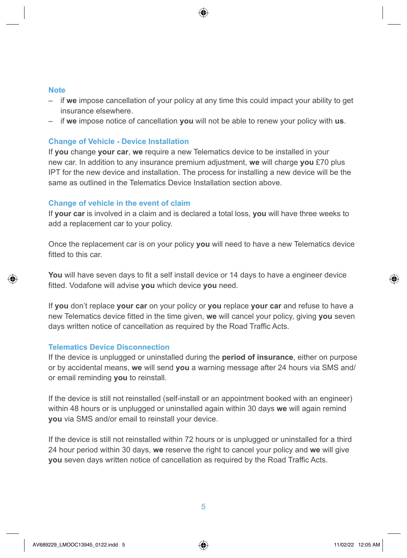- if **we** impose cancellation of your policy at any time this could impact your ability to get insurance elsewhere.
- if **we** impose notice of cancellation **you** will not be able to renew your policy with **us**.

#### **Change of Vehicle - Device Installation**

If **you** change **your car**, **we** require a new Telematics device to be installed in your new car. In addition to any insurance premium adjustment, **we** will charge **you** £70 plus IPT for the new device and installation. The process for installing a new device will be the same as outlined in the Telematics Device Installation section above.

#### **Change of vehicle in the event of claim**

If **your car** is involved in a claim and is declared a total loss, **you** will have three weeks to add a replacement car to your policy.

Once the replacement car is on your policy **you** will need to have a new Telematics device fitted to this car.

**You** will have seven days to fit a self install device or 14 days to have a engineer device fitted. Vodafone will advise **you** which device **you** need.

If **you** don't replace **your car** on your policy or **you** replace **your car** and refuse to have a new Telematics device fitted in the time given, **we** will cancel your policy, giving **you** seven days written notice of cancellation as required by the Road Traffic Acts.

#### **Telematics Device Disconnection**

If the device is unplugged or uninstalled during the **period of insurance**, either on purpose or by accidental means, **we** will send **you** a warning message after 24 hours via SMS and/ or email reminding **you** to reinstall.

If the device is still not reinstalled (self-install or an appointment booked with an engineer) within 48 hours or is unplugged or uninstalled again within 30 days **we** will again remind **you** via SMS and/or email to reinstall your device.

If the device is still not reinstalled within 72 hours or is unplugged or uninstalled for a third 24 hour period within 30 days, **we** reserve the right to cancel your policy and **we** will give **you** seven days written notice of cancellation as required by the Road Traffic Acts.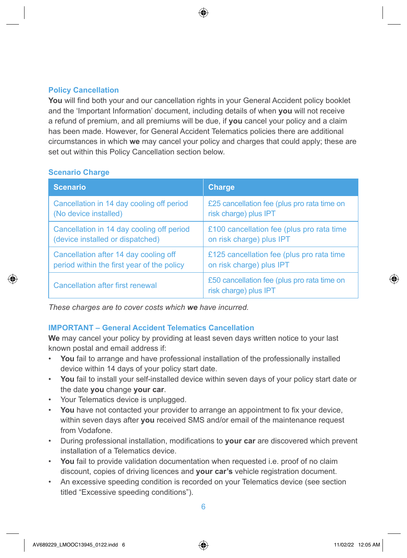### **Policy Cancellation**

You will find both your and our cancellation rights in your General Accident policy booklet and the 'Important Information' document, including details of when **you** will not receive a refund of premium, and all premiums will be due, if **you** cancel your policy and a claim has been made. However, for General Accident Telematics policies there are additional circumstances in which **we** may cancel your policy and charges that could apply; these are set out within this Policy Cancellation section below.

#### **Scenario Charge**

| <b>Scenario</b>                            | <b>Charge</b>                                                        |
|--------------------------------------------|----------------------------------------------------------------------|
| Cancellation in 14 day cooling off period  | £25 cancellation fee (plus pro rata time on                          |
| (No device installed)                      | risk charge) plus IPT                                                |
| Cancellation in 14 day cooling off period  | £100 cancellation fee (plus pro rata time                            |
| (device installed or dispatched)           | on risk charge) plus IPT                                             |
| Cancellation after 14 day cooling off      | £125 cancellation fee (plus pro rata time                            |
| period within the first year of the policy | on risk charge) plus IPT                                             |
| <b>Cancellation after first renewal</b>    | £50 cancellation fee (plus pro rata time on<br>risk charge) plus IPT |

*These charges are to cover costs which we have incurred.* 

### **IMPORTANT – General Accident Telematics Cancellation**

**We** may cancel your policy by providing at least seven days written notice to your last known postal and email address if:

- **You** fail to arrange and have professional installation of the professionally installed device within 14 days of your policy start date.
- **You** fail to install your self-installed device within seven days of your policy start date or the date **you** change **your car**.
- Your Telematics device is unplugged.
- **You** have not contacted your provider to arrange an appointment to fix your device, within seven days after **you** received SMS and/or email of the maintenance request from Vodafone.
- During professional installation, modifications to **your car** are discovered which prevent installation of a Telematics device.
- **You** fail to provide validation documentation when requested i.e. proof of no claim discount, copies of driving licences and **your car's** vehicle registration document.
- An excessive speeding condition is recorded on your Telematics device (see section titled "Excessive speeding conditions").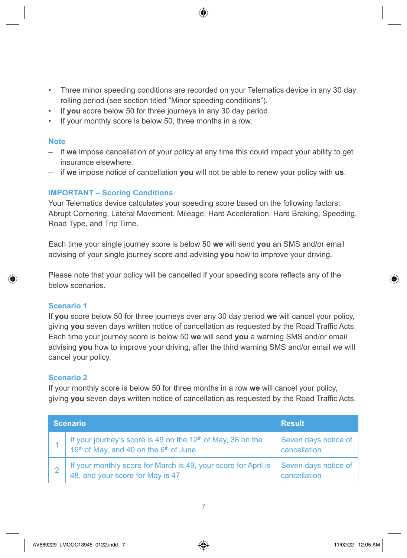- Three minor speeding conditions are recorded on your Telematics device in any 30 day rolling period (see section titled "Minor speeding conditions").
- If **you** score below 50 for three journeys in any 30 day period.
- If your monthly score is below 50, three months in a row.

- if **we** impose cancellation of your policy at any time this could impact your ability to get insurance elsewhere.
- if **we** impose notice of cancellation **you** will not be able to renew your policy with **us**.

### **IMPORTANT – Scoring Conditions**

Your Telematics device calculates your speeding score based on the following factors: Abrupt Cornering, Lateral Movement, Mileage, Hard Acceleration, Hard Braking, Speeding, Road Type, and Trip Time.

Each time your single journey score is below 50 **we** will send **you** an SMS and/or email advising of your single journey score and advising **you** how to improve your driving.

Please note that your policy will be cancelled if your speeding score reflects any of the below scenarios.

#### **Scenario 1**

If **you** score below 50 for three journeys over any 30 day period **we** will cancel your policy, giving **you** seven days written notice of cancellation as requested by the Road Traffic Acts. Each time your journey score is below 50 **we** will send **you** a warning SMS and/or email advising **you** how to improve your driving, after the third warning SMS and/or email we will cancel your policy.

#### **Scenario 2**

If your monthly score is below 50 for three months in a row **we** will cancel your policy, giving **you** seven days written notice of cancellation as requested by the Road Traffic Acts.

| <b>Scenario</b> |                                                                                                                                        | <b>Result</b>                        |
|-----------------|----------------------------------------------------------------------------------------------------------------------------------------|--------------------------------------|
|                 | If your journey's score is 49 on the 12 <sup>th</sup> of May, 38 on the 19 <sup>th</sup> of May, and 40 on the 6 <sup>th</sup> of June | Seven days notice of<br>cancellation |
|                 | If your monthly score for March is 49, your score for April is 48, and your score for May is 47                                        | Seven days notice of<br>cancellation |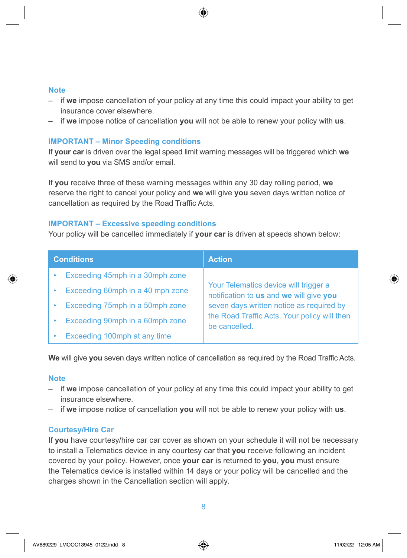- if **we** impose cancellation of your policy at any time this could impact your ability to get insurance cover elsewhere.
- if **we** impose notice of cancellation **you** will not be able to renew your policy with **us**.

#### **IMPORTANT – Minor Speeding conditions**

If **your car** is driven over the legal speed limit warning messages will be triggered which **we** will send to **you** via SMS and/or email.

If **you** receive three of these warning messages within any 30 day rolling period, **we** reserve the right to cancel your policy and **we** will give **you** seven days written notice of cancellation as required by the Road Traffic Acts.

#### **IMPORTANT – Excessive speeding conditions**

Your policy will be cancelled immediately if **your car** is driven at speeds shown below:

| <b>Conditions</b>                | <b>Action</b>                                                                    |
|----------------------------------|----------------------------------------------------------------------------------|
| Exceeding 45mph in a 30mph zone  |                                                                                  |
| Exceeding 60mph in a 40 mph zone | Your Telematics device will trigger a<br>notification to us and we will give you |
| Exceeding 75mph in a 50mph zone  | seven days written notice as required by                                         |
| Exceeding 90mph in a 60mph zone  | the Road Traffic Acts. Your policy will then<br>be cancelled.                    |
| Exceeding 100mph at any time     |                                                                                  |

**We** will give **you** seven days written notice of cancellation as required by the Road Traffic Acts.

#### **Note**

- if **we** impose cancellation of your policy at any time this could impact your ability to get insurance elsewhere.
- if **we** impose notice of cancellation **you** will not be able to renew your policy with **us**.

#### **Courtesy/Hire Car**

If **you** have courtesy/hire car car cover as shown on your schedule it will not be necessary to install a Telematics device in any courtesy car that **you** receive following an incident covered by your policy. However, once **your car** is returned to **you**, **you** must ensure the Telematics device is installed within 14 days or your policy will be cancelled and the charges shown in the Cancellation section will apply.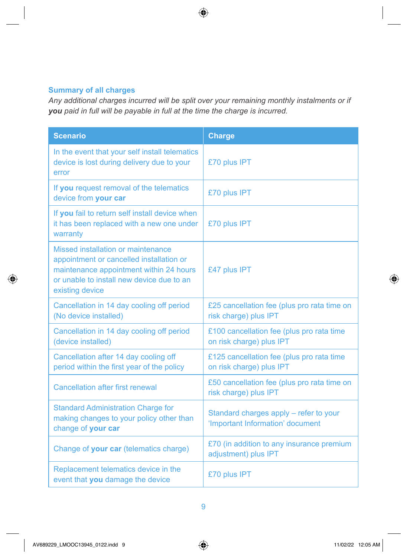## **Summary of all charges**

*Any additional charges incurred will be split over your remaining monthly instalments or if you paid in full will be payable in full at the time the charge is incurred.* 

| <b>Scenario</b>                                                                                                                                                                           | <b>Charge</b>                                                              |
|-------------------------------------------------------------------------------------------------------------------------------------------------------------------------------------------|----------------------------------------------------------------------------|
| In the event that your self install telematics<br>device is lost during delivery due to your<br>error                                                                                     | £70 plus IPT                                                               |
| If you request removal of the telematics<br>device from your car                                                                                                                          | £70 plus IPT                                                               |
| If you fail to return self install device when<br>it has been replaced with a new one under<br>warranty                                                                                   | £70 plus IPT                                                               |
| Missed installation or maintenance<br>appointment or cancelled installation or<br>maintenance appointment within 24 hours<br>or unable to install new device due to an<br>existing device | £47 plus IPT                                                               |
| Cancellation in 14 day cooling off period<br>(No device installed)                                                                                                                        | £25 cancellation fee (plus pro rata time on<br>risk charge) plus IPT       |
| Cancellation in 14 day cooling off period<br>(device installed)                                                                                                                           | £100 cancellation fee (plus pro rata time<br>on risk charge) plus IPT      |
| Cancellation after 14 day cooling off<br>period within the first year of the policy                                                                                                       | £125 cancellation fee (plus pro rata time<br>on risk charge) plus IPT      |
| <b>Cancellation after first renewal</b>                                                                                                                                                   | £50 cancellation fee (plus pro rata time on<br>risk charge) plus IPT       |
| <b>Standard Administration Charge for</b><br>making changes to your policy other than<br>change of your car                                                                               | Standard charges apply - refer to your<br>'Important Information' document |
| Change of your car (telematics charge)                                                                                                                                                    | £70 (in addition to any insurance premium<br>adjustment) plus IPT          |
| Replacement telematics device in the<br>event that you damage the device                                                                                                                  | £70 plus IPT                                                               |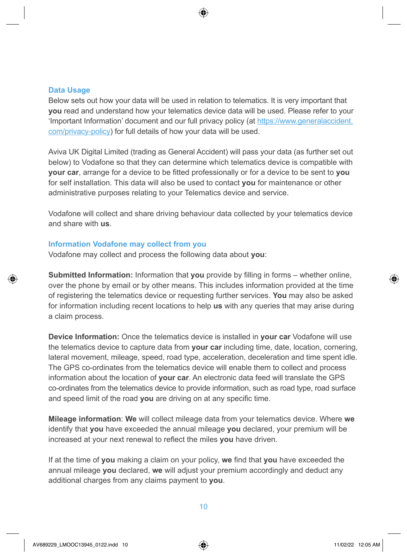#### **Data Usage**

Below sets out how your data will be used in relation to telematics. It is very important that **you** read and understand how your telematics device data will be used. Please refer to your 'Important Information' document and our full privacy policy (at [https://www.generalaccident.](https://www.generalaccident.com/privacy-policy) [com/privacy-policy\)](https://www.generalaccident.com/privacy-policy) for full details of how your data will be used.

Aviva UK Digital Limited (trading as General Accident) will pass your data (as further set out below) to Vodafone so that they can determine which telematics device is compatible with **your car**, arrange for a device to be fitted professionally or for a device to be sent to **you** for self installation. This data will also be used to contact **you** for maintenance or other administrative purposes relating to your Telematics device and service.

Vodafone will collect and share driving behaviour data collected by your telematics device and share with **us**.

#### **Information Vodafone may collect from you**

Vodafone may collect and process the following data about **you**:

**Submitted Information:** Information that **you** provide by filling in forms – whether online, over the phone by email or by other means. This includes information provided at the time of registering the telematics device or requesting further services. **You** may also be asked for information including recent locations to help **us** with any queries that may arise during a claim process.

**Device Information:** Once the telematics device is installed in **your car** Vodafone will use the telematics device to capture data from **your car** including time, date, location, cornering, lateral movement, mileage, speed, road type, acceleration, deceleration and time spent idle. The GPS co-ordinates from the telematics device will enable them to collect and process information about the location of **your car**. An electronic data feed will translate the GPS co-ordinates from the telematics device to provide information, such as road type, road surface and speed limit of the road **you** are driving on at any specific time.

**Mileage information**: **We** will collect mileage data from your telematics device. Where **we** identify that **you** have exceeded the annual mileage **you** declared, your premium will be increased at your next renewal to reflect the miles **you** have driven.

If at the time of **you** making a claim on your policy, **we** find that **you** have exceeded the annual mileage **you** declared, **we** will adjust your premium accordingly and deduct any additional charges from any claims payment to **you**.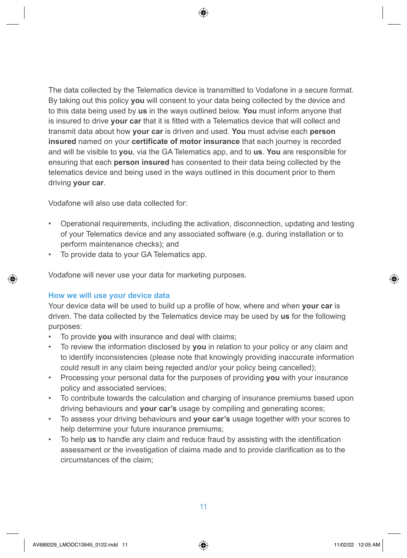The data collected by the Telematics device is transmitted to Vodafone in a secure format. By taking out this policy **you** will consent to your data being collected by the device and to this data being used by **us** in the ways outlined below. **You** must inform anyone that is insured to drive **your car** that it is fitted with a Telematics device that will collect and transmit data about how **your car** is driven and used. **You** must advise each **person insured** named on your **certificate of motor insurance** that each journey is recorded and will be visible to **you**, via the GA Telematics app, and to **us**. **You** are responsible for ensuring that each **person insured** has consented to their data being collected by the telematics device and being used in the ways outlined in this document prior to them driving **your car**.

Vodafone will also use data collected for:

- Operational requirements, including the activation, disconnection, updating and testing of your Telematics device and any associated software (e.g. during installation or to perform maintenance checks); and
- To provide data to your GA Telematics app.

Vodafone will never use your data for marketing purposes.

#### **How we will use your device data**

Your device data will be used to build up a profile of how, where and when **your car** is driven. The data collected by the Telematics device may be used by **us** for the following purposes:

- To provide **you** with insurance and deal with claims;
- To review the information disclosed by **you** in relation to your policy or any claim and to identify inconsistencies (please note that knowingly providing inaccurate information could result in any claim being rejected and/or your policy being cancelled);
- Processing your personal data for the purposes of providing **you** with your insurance policy and associated services;
- To contribute towards the calculation and charging of insurance premiums based upon driving behaviours and **your car's** usage by compiling and generating scores;
- To assess your driving behaviours and **your car's** usage together with your scores to help determine your future insurance premiums;
- To help **us** to handle any claim and reduce fraud by assisting with the identification assessment or the investigation of claims made and to provide clarification as to the circumstances of the claim;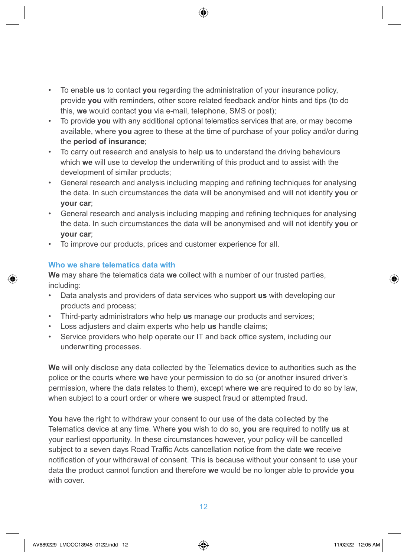- To enable **us** to contact **you** regarding the administration of your insurance policy, provide **you** with reminders, other score related feedback and/or hints and tips (to do this, **we** would contact **you** via e-mail, telephone, SMS or post);
- To provide **you** with any additional optional telematics services that are, or may become available, where **you** agree to these at the time of purchase of your policy and/or during the **period of insurance**;
- To carry out research and analysis to help **us** to understand the driving behaviours which **we** will use to develop the underwriting of this product and to assist with the development of similar products;
- General research and analysis including mapping and refining techniques for analysing the data. In such circumstances the data will be anonymised and will not identify **you** or **your car**;
- General research and analysis including mapping and refining techniques for analysing the data. In such circumstances the data will be anonymised and will not identify **you** or **your car**;
- To improve our products, prices and customer experience for all.

### **Who we share telematics data with**

**We** may share the telematics data **we** collect with a number of our trusted parties, including:

- Data analysts and providers of data services who support **us** with developing our products and process;
- Third-party administrators who help **us** manage our products and services;
- Loss adjusters and claim experts who help **us** handle claims;
- Service providers who help operate our IT and back office system, including our underwriting processes.

**We** will only disclose any data collected by the Telematics device to authorities such as the police or the courts where **we** have your permission to do so (or another insured driver's permission, where the data relates to them), except where **we** are required to do so by law, when subject to a court order or where **we** suspect fraud or attempted fraud.

**You** have the right to withdraw your consent to our use of the data collected by the Telematics device at any time. Where **you** wish to do so, **you** are required to notify **us** at your earliest opportunity. In these circumstances however, your policy will be cancelled subject to a seven days Road Traffic Acts cancellation notice from the date **we** receive notification of your withdrawal of consent. This is because without your consent to use your data the product cannot function and therefore **we** would be no longer able to provide **you** with cover.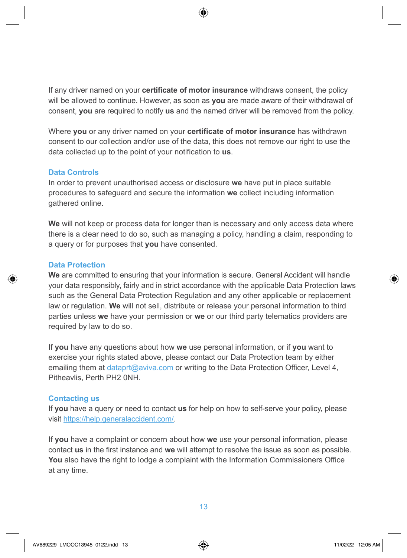If any driver named on your **certificate of motor insurance** withdraws consent, the policy will be allowed to continue. However, as soon as **you** are made aware of their withdrawal of consent, **you** are required to notify **us** and the named driver will be removed from the policy.

Where **you** or any driver named on your **certificate of motor insurance** has withdrawn consent to our collection and/or use of the data, this does not remove our right to use the data collected up to the point of your notification to **us**.

#### **Data Controls**

In order to prevent unauthorised access or disclosure **we** have put in place suitable procedures to safeguard and secure the information **we** collect including information gathered online.

**We** will not keep or process data for longer than is necessary and only access data where there is a clear need to do so, such as managing a policy, handling a claim, responding to a query or for purposes that **you** have consented.

### **Data Protection**

**We** are committed to ensuring that your information is secure. General Accident will handle your data responsibly, fairly and in strict accordance with the applicable Data Protection laws such as the General Data Protection Regulation and any other applicable or replacement law or regulation. **We** will not sell, distribute or release your personal information to third parties unless **we** have your permission or **we** or our third party telematics providers are required by law to do so.

If **you** have any questions about how **we** use personal information, or if **you** want to exercise your rights stated above, please contact our Data Protection team by either emailing them at dataprt@aviva.com or writing to the Data Protection Officer, Level 4, Pitheavlis, Perth PH2 0NH.

### **Contacting us**

If **you** have a query or need to contact **us** for help on how to self-serve your policy, please visit [https://help.generalaccident.com/.](https://help.generalaccident.com/)

If **you** have a complaint or concern about how **we** use your personal information, please contact **us** in the first instance and **we** will attempt to resolve the issue as soon as possible. **You** also have the right to lodge a complaint with the Information Commissioners Office at any time.